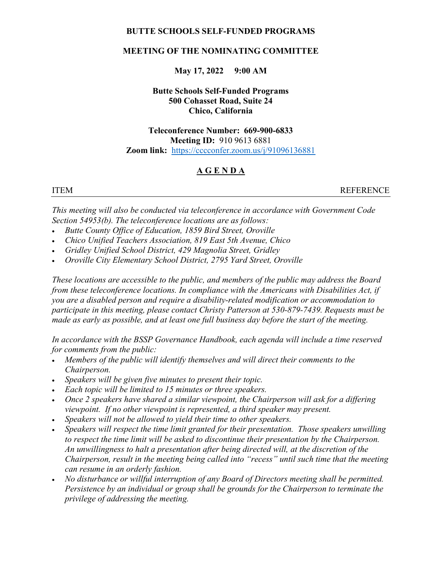### BUTTE SCHOOLS SELF-FUNDED PROGRAMS

#### MEETING OF THE NOMINATING COMMITTEE

#### May 17, 2022 9:00 AM

# Butte Schools Self-Funded Programs 500 Cohasset Road, Suite 24 Chico, California

# Teleconference Number: 669-900-6833 Meeting ID: 910 9613 6881 Zoom link: https://cccconfer.zoom.us/j/91096136881

# A G E N D A

ITEM REFERENCE

This meeting will also be conducted via teleconference in accordance with Government Code Section 54953(b). The teleconference locations are as follows:

- Butte County Office of Education, 1859 Bird Street, Oroville
- Chico Unified Teachers Association, 819 East 5th Avenue, Chico
- Gridley Unified School District, 429 Magnolia Street, Gridley
- Oroville City Elementary School District, 2795 Yard Street, Oroville

These locations are accessible to the public, and members of the public may address the Board from these teleconference locations. In compliance with the Americans with Disabilities Act, if you are a disabled person and require a disability-related modification or accommodation to participate in this meeting, please contact Christy Patterson at 530-879-7439. Requests must be made as early as possible, and at least one full business day before the start of the meeting.

In accordance with the BSSP Governance Handbook, each agenda will include a time reserved for comments from the public:

- Members of the public will identify themselves and will direct their comments to the Chairperson.
- Speakers will be given five minutes to present their topic.
- Each topic will be limited to 15 minutes or three speakers.
- Once 2 speakers have shared a similar viewpoint, the Chairperson will ask for a differing viewpoint. If no other viewpoint is represented, a third speaker may present.
- Speakers will not be allowed to yield their time to other speakers.
- Speakers will respect the time limit granted for their presentation. Those speakers unwilling to respect the time limit will be asked to discontinue their presentation by the Chairperson. An unwillingness to halt a presentation after being directed will, at the discretion of the Chairperson, result in the meeting being called into "recess" until such time that the meeting can resume in an orderly fashion.
- No disturbance or willful interruption of any Board of Directors meeting shall be permitted. Persistence by an individual or group shall be grounds for the Chairperson to terminate the privilege of addressing the meeting.